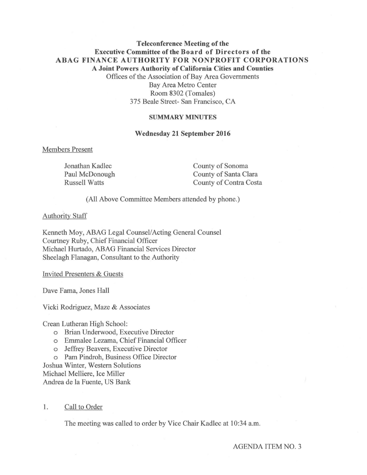# **Teleconference Meeting of the Executive Committee of the Board of Directors of the ABAG FINANCE AUTHORITY FOR NONPROFIT CORPORATIONS A Joint Powers Authority of California Cities and Counties**  Offices of the Association of Bay Area Governments Bay Area Metro Center Room 8302 (Tomales) 375 Beale Street- San Francisco, CA

### **SUMMARY MINUTES**

### **Wednesday 21 September 2016**

#### Members Present

Jonathan Kadlec Paul McDonough Russell Watts

County of Sonoma County of Santa Clara County of Contra Costa

(All Above Committee Members attended by phone.)

#### Authority Staff

Kenneth Moy, ABAG Legal Counsel/Acting General Counsel Courtney Ruby, Chief Financial Officer Michael Hurtado, ABAG Financial Services Director Sheelagh Flanagan, Consultant to the Authority

Invited Presenters & Guests

Dave Fama, Jones Hall

Vicki Rodriguez, Maze & Associates

Crean Lutheran High School:

- o Brian Underwood, Executive Director
- o Emmalee Lezama, Chief Financial Officer
- o Jeffrey Beavers, Executive Director
- o Pam Pindroh, Business Office Director

Joshua Winter, Western Solutions Michael Melliere, Ice Miller

Andrea de la Fuente, US Bank

# 1. Call to Order

The meeting was called to order by Vice Chair Kadlec at 10:34 a.m.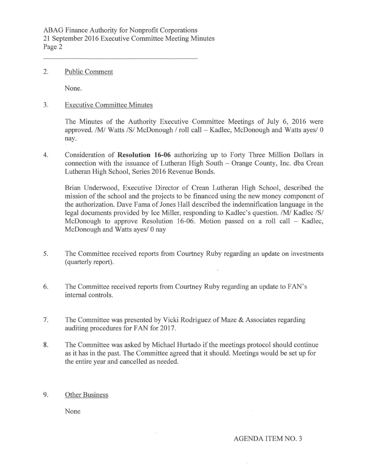ABAG Finance Authority for Nonprofit Corporations 21 September 2016 Executive Committee Meeting Minutes Page 2

2. Public Comment

None.

3. Executive Committee Minutes

The Minutes of the Authority Executive Committee Meetings of July 6, 2016 were approved. /M/ Watts /S/ McDonough / roll call  $-$  Kadlec, McDonough and Watts ayes/ 0 nay.

4. Consideration of **Resolution 16-06** authorizing up to Forty Three Million Dollars in connection with the issuance of Lutheran High South - Orange County, Inc. dba Crean Lutheran High School, Series 2016 Revenue Bonds.

Brian Underwood, Executive Director of Crean Lutheran High School, described the mission of the school and the projects to be financed using the new money component of the authorization. Dave Fama of Jones Hall described the indemnification language in the legal documents provided by Ice Miller, responding to Kadlec's question. /M/ Kadlec /S/ McDonough to approve Resolution 16-06. Motion passed on a roll call - Kadlec, McDonough and Watts ayes/ 0 nay

- 5. The Committee received reports from Courtney Ruby regarding an update on investments (quarterly report).
- 6. The Committee received reports from Courtney Ruby regarding an update to FAN's internal controls.
- 7. The Committee was presented by Vicki Rodriguez of Maze & Associates regarding auditing procedures for FAN for 2017.
- 8. The Committee was asked by Michael Hurtado if the meetings protocol should continue as it has in the past. The Committee agreed that it should. Meetings would be set up for the entire year and cancelled as needed.

# 9. Other Business

None